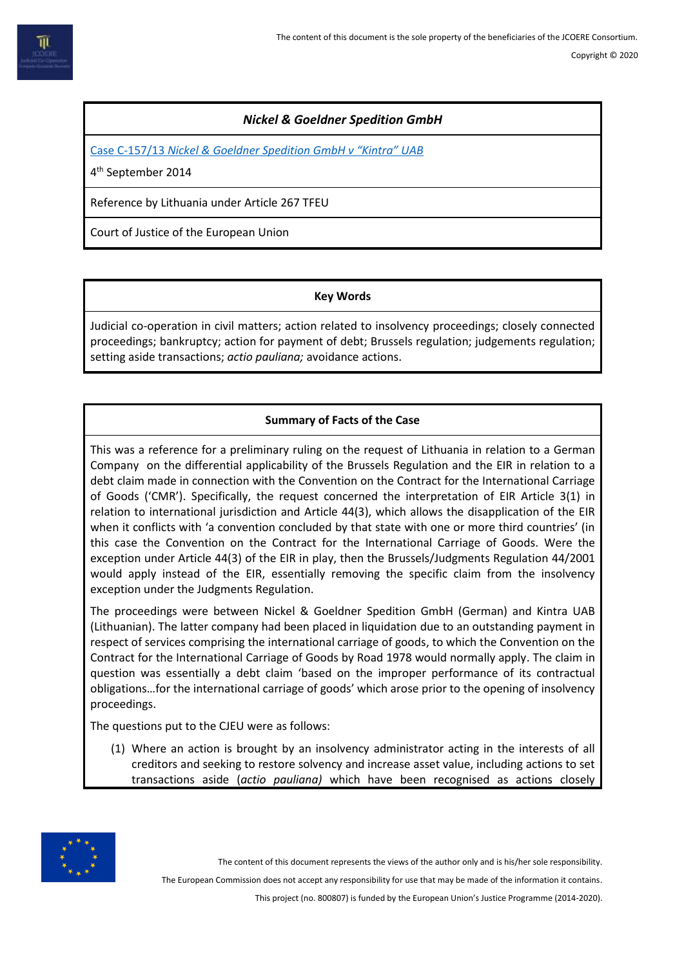# *Nickel & Goeldner Spedition GmbH*

Case C-157/13 *[Nickel & Goeldner Spedition GmbH v "Kintra" UAB](https://eur-lex.europa.eu/legal-content/EN/TXT/HTML/?uri=CELEX:62013CJ0157&from=EN)*

4 th September 2014

Reference by Lithuania under Article 267 TFEU

Court of Justice of the European Union

### **Key Words**

Judicial co-operation in civil matters; action related to insolvency proceedings; closely connected proceedings; bankruptcy; action for payment of debt; Brussels regulation; judgements regulation; setting aside transactions; *actio pauliana;* avoidance actions.

## **Summary of Facts of the Case**

This was a reference for a preliminary ruling on the request of Lithuania in relation to a German Company on the differential applicability of the Brussels Regulation and the EIR in relation to a debt claim made in connection with the Convention on the Contract for the International Carriage of Goods ('CMR'). Specifically, the request concerned the interpretation of EIR Article 3(1) in relation to international jurisdiction and Article 44(3), which allows the disapplication of the EIR when it conflicts with 'a convention concluded by that state with one or more third countries' (in this case the Convention on the Contract for the International Carriage of Goods. Were the exception under Article 44(3) of the EIR in play, then the Brussels/Judgments Regulation 44/2001 would apply instead of the EIR, essentially removing the specific claim from the insolvency exception under the Judgments Regulation.

The proceedings were between Nickel & Goeldner Spedition GmbH (German) and Kintra UAB (Lithuanian). The latter company had been placed in liquidation due to an outstanding payment in respect of services comprising the international carriage of goods, to which the Convention on the Contract for the International Carriage of Goods by Road 1978 would normally apply. The claim in question was essentially a debt claim 'based on the improper performance of its contractual obligations…for the international carriage of goods' which arose prior to the opening of insolvency proceedings.

The questions put to the CJEU were as follows:

(1) Where an action is brought by an insolvency administrator acting in the interests of all creditors and seeking to restore solvency and increase asset value, including actions to set transactions aside (*actio pauliana)* which have been recognised as actions closely



The content of this document represents the views of the author only and is his/her sole responsibility.

The European Commission does not accept any responsibility for use that may be made of the information it contains.

This project (no. 800807) is funded by the European Union's Justice Programme (2014-2020).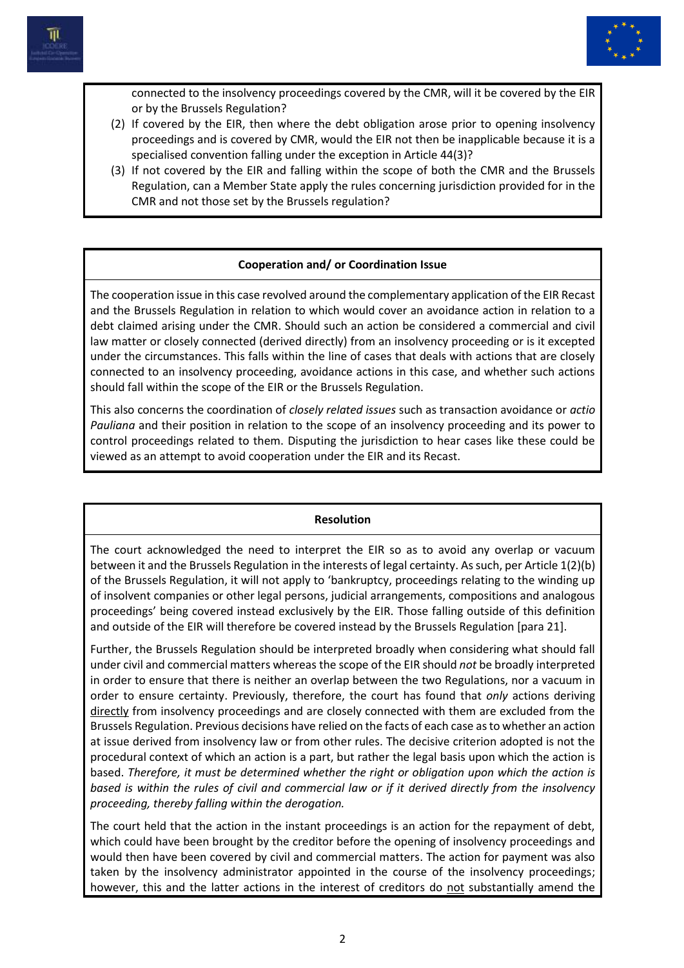



connected to the insolvency proceedings covered by the CMR, will it be covered by the EIR or by the Brussels Regulation?

- (2) If covered by the EIR, then where the debt obligation arose prior to opening insolvency proceedings and is covered by CMR, would the EIR not then be inapplicable because it is a specialised convention falling under the exception in Article 44(3)?
- (3) If not covered by the EIR and falling within the scope of both the CMR and the Brussels Regulation, can a Member State apply the rules concerning jurisdiction provided for in the CMR and not those set by the Brussels regulation?

## **Cooperation and/ or Coordination Issue**

The cooperation issue in this case revolved around the complementary application of the EIR Recast and the Brussels Regulation in relation to which would cover an avoidance action in relation to a debt claimed arising under the CMR. Should such an action be considered a commercial and civil law matter or closely connected (derived directly) from an insolvency proceeding or is it excepted under the circumstances. This falls within the line of cases that deals with actions that are closely connected to an insolvency proceeding, avoidance actions in this case, and whether such actions should fall within the scope of the EIR or the Brussels Regulation.

This also concerns the coordination of *closely related issues* such as transaction avoidance or *actio Pauliana* and their position in relation to the scope of an insolvency proceeding and its power to control proceedings related to them. Disputing the jurisdiction to hear cases like these could be viewed as an attempt to avoid cooperation under the EIR and its Recast.

#### **Resolution**

The court acknowledged the need to interpret the EIR so as to avoid any overlap or vacuum between it and the Brussels Regulation in the interests of legal certainty. As such, per Article 1(2)(b) of the Brussels Regulation, it will not apply to 'bankruptcy, proceedings relating to the winding up of insolvent companies or other legal persons, judicial arrangements, compositions and analogous proceedings' being covered instead exclusively by the EIR. Those falling outside of this definition and outside of the EIR will therefore be covered instead by the Brussels Regulation [para 21].

Further, the Brussels Regulation should be interpreted broadly when considering what should fall under civil and commercial matters whereas the scope of the EIR should *not* be broadly interpreted in order to ensure that there is neither an overlap between the two Regulations, nor a vacuum in order to ensure certainty. Previously, therefore, the court has found that *only* actions deriving directly from insolvency proceedings and are closely connected with them are excluded from the Brussels Regulation. Previous decisions have relied on the facts of each case as to whether an action at issue derived from insolvency law or from other rules. The decisive criterion adopted is not the procedural context of which an action is a part, but rather the legal basis upon which the action is based. *Therefore, it must be determined whether the right or obligation upon which the action is based is within the rules of civil and commercial law or if it derived directly from the insolvency proceeding, thereby falling within the derogation.*

The court held that the action in the instant proceedings is an action for the repayment of debt, which could have been brought by the creditor before the opening of insolvency proceedings and would then have been covered by civil and commercial matters. The action for payment was also taken by the insolvency administrator appointed in the course of the insolvency proceedings; however, this and the latter actions in the interest of creditors do not substantially amend the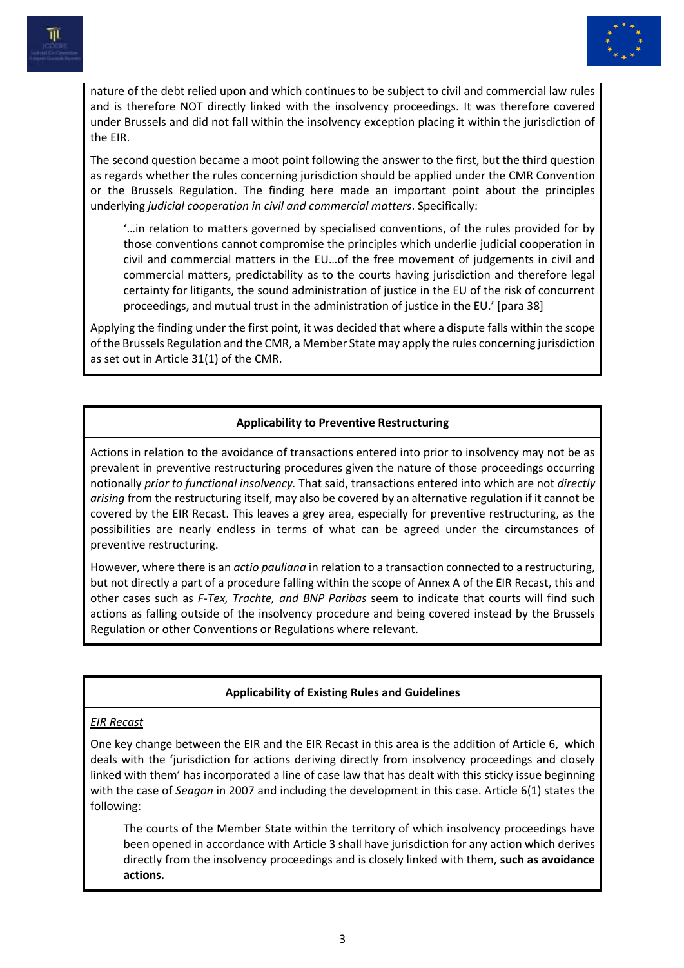



nature of the debt relied upon and which continues to be subject to civil and commercial law rules and is therefore NOT directly linked with the insolvency proceedings. It was therefore covered under Brussels and did not fall within the insolvency exception placing it within the jurisdiction of the EIR.

The second question became a moot point following the answer to the first, but the third question as regards whether the rules concerning jurisdiction should be applied under the CMR Convention or the Brussels Regulation. The finding here made an important point about the principles underlying *judicial cooperation in civil and commercial matters*. Specifically:

'…in relation to matters governed by specialised conventions, of the rules provided for by those conventions cannot compromise the principles which underlie judicial cooperation in civil and commercial matters in the EU…of the free movement of judgements in civil and commercial matters, predictability as to the courts having jurisdiction and therefore legal certainty for litigants, the sound administration of justice in the EU of the risk of concurrent proceedings, and mutual trust in the administration of justice in the EU.' [para 38]

Applying the finding under the first point, it was decided that where a dispute falls within the scope of the Brussels Regulation and the CMR, a Member State may apply the rules concerning jurisdiction as set out in Article 31(1) of the CMR.

## **Applicability to Preventive Restructuring**

Actions in relation to the avoidance of transactions entered into prior to insolvency may not be as prevalent in preventive restructuring procedures given the nature of those proceedings occurring notionally *prior to functional insolvency.* That said, transactions entered into which are not *directly arising* from the restructuring itself, may also be covered by an alternative regulation if it cannot be covered by the EIR Recast. This leaves a grey area, especially for preventive restructuring, as the possibilities are nearly endless in terms of what can be agreed under the circumstances of preventive restructuring.

However, where there is an *actio pauliana* in relation to a transaction connected to a restructuring, but not directly a part of a procedure falling within the scope of Annex A of the EIR Recast, this and other cases such as *F-Tex, Trachte, and BNP Paribas* seem to indicate that courts will find such actions as falling outside of the insolvency procedure and being covered instead by the Brussels Regulation or other Conventions or Regulations where relevant.

#### **Applicability of Existing Rules and Guidelines**

#### *EIR Recast*

One key change between the EIR and the EIR Recast in this area is the addition of Article 6, which deals with the 'jurisdiction for actions deriving directly from insolvency proceedings and closely linked with them' has incorporated a line of case law that has dealt with this sticky issue beginning with the case of *Seagon* in 2007 and including the development in this case. Article 6(1) states the following:

The courts of the Member State within the territory of which insolvency proceedings have been opened in accordance with Article 3 shall have jurisdiction for any action which derives directly from the insolvency proceedings and is closely linked with them, **such as avoidance actions.**